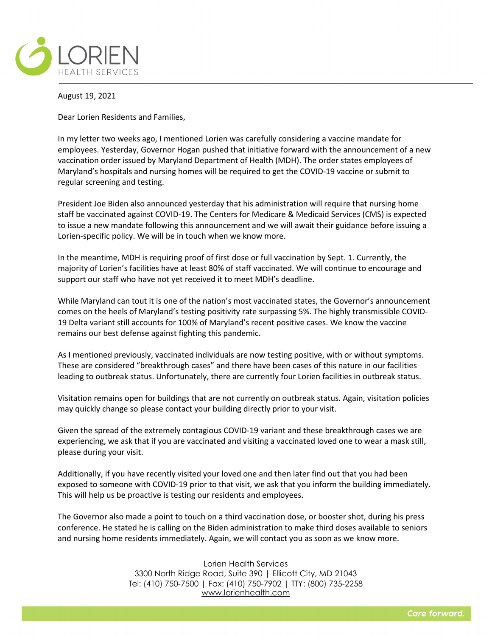

August 19, 2021

Dear Lorien Residents and Families,

In my letter two weeks ago, I mentioned Lorien was carefully considering a vaccine mandate for employees. Yesterday, Governor Hogan pushed that initiative forward with the announcement of a new vaccination order issued by Maryland Department of Health (MDH). The order states employees of Maryland's hospitals and nursing homes will be required to get the COVID-19 vaccine or submit to regular screening and testing.

President Joe Biden also announced yesterday that his administration will require that nursing home staff be vaccinated against COVID-19. The Centers for Medicare & Medicaid Services (CMS) is expected to issue a new mandate following this announcement and we will await their guidance before issuing a Lorien-specific policy. We will be in touch when we know more.

In the meantime, MDH is requiring proof of first dose or full vaccination by Sept. 1. Currently, the majority of Lorien's facilities have at least 80% of staff vaccinated. We will continue to encourage and support our staff who have not yet received it to meet MDH's deadline.

While Maryland can tout it is one of the nation's most vaccinated states, the Governor's announcement comes on the heels of Maryland's testing positivity rate surpassing 5%. The highly transmissible COVID-19 Delta variant still accounts for 100% of Maryland's recent positive cases. We know the vaccine remains our best defense against fighting this pandemic.

As I mentioned previously, vaccinated individuals are now testing positive, with or without symptoms. These are considered "breakthrough cases" and there have been cases of this nature in our facilities leading to outbreak status. Unfortunately, there are currently four Lorien facilities in outbreak status.

Visitation remains open for buildings that are not currently on outbreak status. Again, visitation policies may quickly change so please contact your building directly prior to your visit.

Given the spread of the extremely contagious COVID-19 variant and these breakthrough cases we are experiencing, we ask that if you are vaccinated and visiting a vaccinated loved one to wear a mask still, please during your visit.

Additionally, if you have recently visited your loved one and then later find out that you had been exposed to someone with COVID-19 prior to that visit, we ask that you inform the building immediately. This will help us be proactive is testing our residents and employees.

The Governor also made a point to touch on a third vaccination dose, or booster shot, during his press conference. He stated he is calling on the Biden administration to make third doses available to seniors and nursing home residents immediately. Again, we will contact you as soon as we know more.

> Lorien Health Services 3300 North Ridge Road, Suite 390 | Ellicott City, MD 21043 Tel: (410) 750-7500 | Fax: (410) 750-7902 | TTY: (800) 735-2258 [www.lorienhealth.com](http://www.lorienhealth.com/)